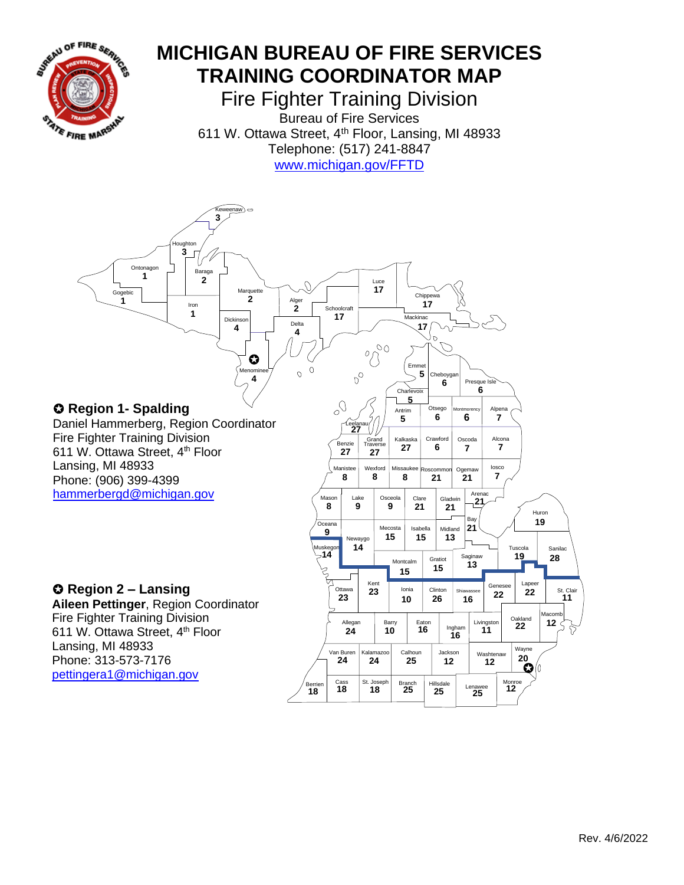

## **MICHIGAN BUREAU OF FIRE SERVICES TRAINING COORDINATOR MAP**

Fire Fighter Training Division Bureau of Fire Services 611 W. Ottawa Street, 4<sup>th</sup> Floor, Lansing, MI 48933 Telephone: (517) 241-8847 [www.michigan.gov/FFTD](https://www.michigan.gov/lara/0,4601,7-154-89334_42271_42325---,00.html)